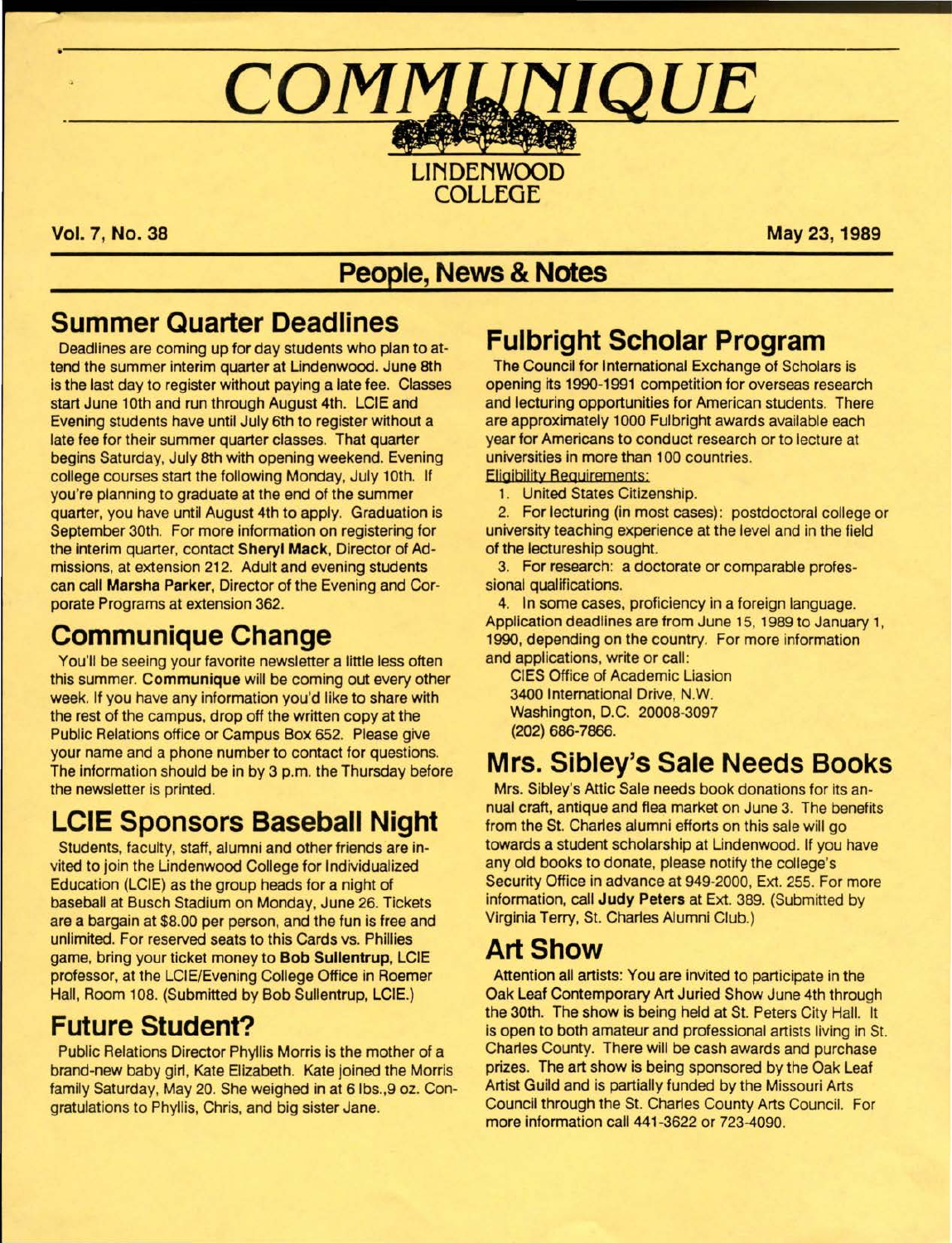# COMMUNIQUE

**LIN DENWOOD COLLEGE** 

**Vol. 7, No. 38 May 23, 1989** 

## **People, News & Notes**

## **Summer Quarter Deadlines**

Deadlines are coming up for day students who plan to attend the summer interim quarter at Lindenwood. June 8th is the last day to register without paying a late fee. Classes start June 10th and run through August 4th. LCIE and Evening students have until July 6th to register without a late fee for their summer quarter classes. That quarter begins Saturday, July 8th with opening weekend. Evening college courses start the following Monday, July 10th. If you're planning to graduate at the end of the summer quarter, you have until August 4th to apply. Graduation is September 30th. For more information on registering for the interim quarter, contact **Sheryl Mack,** Director of Admissions, at extension 212. Adult and evening students can call **Marsha Parker,** Director of the Evening and Corporate Programs at extension 362.

# **Communique Change**

You'll be seeing your favorite newsletter a little less often this summer. **Communique will** be coming out every other week. If you have any information you'd like to share with the rest of the campus, drop off the written copy at the Public Relations office or Campus Box 652. Please give your name and a phone number to contact for questions. The information should be in by 3 p.m. the Thursday before the newsletter is printed.

# **LCIE Sponsors Baseball Night**

Students, faculty, staff, alumni and other friends are invited to join the Lindenwood College for Individualized Education (LCIE) as the group heads for a night of baseball at Busch Stadium on Monday, June 26. Tickets are a bargain at \$8.00 per person, and the tun is free and unlimited. For reserved seats to this Cards vs. Phillies game, bring your ticket money to **Bob Sullentrup,** LCIE professor, at the LCIE/Evening College Office in Roemer Hall, Room 108. (Submitted by Bob Sullentrup, LCIE.)

# **Future Student?**

Public Relations Director Phyllis Morris is the mother of a brand-new baby girl, Kate Elizabeth. Kate joined the Morris family Saturday, May 20. She weighed in at 6 lbs.,9 oz. Congratulations to Phyllis, Chris, and big sister Jane.

# **Fulbright Scholar Program**

The Council for International Exchange of Scholars is opening its 1990-1991 competition for overseas research and lecturing opportunities for American students. There are approximately 1000 Fulbright awards available each year for Americans to conduct research or to lecture at universities in more than 100 countries.

Eligibility Requirements:

1. United States Citizenship.

2. For lecturing (in most cases): postdoctoral college or university teaching experience at the level and in the field of the lectureship sought.

3. For research: a doctorate or comparable professional qualifications.

4. In some cases, proficiency in a foreign language. Application deadlines are from June 15, 1989 to January 1, 1990, depending on the country. For more information and applications, write or call:

CIES Office of Academic Liasion 3400 International Drive, N.W. Washington, D.C. 20008-3097 **(202) 686-7866.** 

## **Mrs. Sibley's Sale Needs Books**

Mrs. Sibley's Attic Sale needs book donations for its annual craft, antique and flea market on June 3. The benefits from the St. Charles alumni efforts on this sale will go towards a student scholarship at Lindenwood. If you have any old books to donate, please notify the college's Security Office in advance at 949-2000, Ext. 255. For more information, call **Judy Peters** at Ext. 389. (Submitted by Virginia Terry, St. Charles Alumni Club.)

## **Art Show**

Attention all artists: You are invited to participate in the Oak Leaf Contemporary Art Juried Show June 4th through the 30th. The show is being held at St. Peters City Hall. It is open to both amateur and professional artists living in St. Charles County. There will be cash awards and purchase prizes. The art show is being sponsored by the Oak Leaf Artist Guild and is partially funded by the Missouri Arts Council through the St. Charles County Arts Council. For more information call 441-3622 or 723-4090.